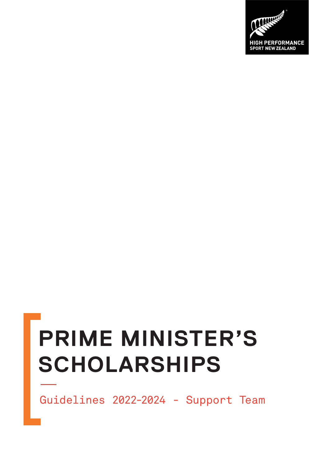# **PRIME MINISTER'S SCHOLARSHIPS**

Guidelines 2022-2024 - Support Team

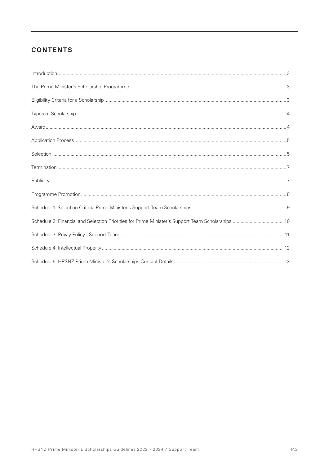# **CONTENTS**

| $\int_0^{\infty} \frac{1}{2} \int_0^{\infty} \frac{1}{2} \int_0^{\infty} \frac{1}{2} \int_0^{\infty} \frac{1}{2} \int_0^{\infty} \frac{1}{2} \int_0^{\infty} \frac{1}{2} \int_0^{\infty} \frac{1}{2} \int_0^{\infty} \frac{1}{2} \int_0^{\infty} \frac{1}{2} \int_0^{\infty} \frac{1}{2} \int_0^{\infty} \frac{1}{2} \int_0^{\infty} \frac{1}{2} \int_0^{\infty} \frac{1}{2} \int_0^{\infty} \frac{$ |  |
|------------------------------------------------------------------------------------------------------------------------------------------------------------------------------------------------------------------------------------------------------------------------------------------------------------------------------------------------------------------------------------------------------|--|
|                                                                                                                                                                                                                                                                                                                                                                                                      |  |
|                                                                                                                                                                                                                                                                                                                                                                                                      |  |
|                                                                                                                                                                                                                                                                                                                                                                                                      |  |
|                                                                                                                                                                                                                                                                                                                                                                                                      |  |
|                                                                                                                                                                                                                                                                                                                                                                                                      |  |
|                                                                                                                                                                                                                                                                                                                                                                                                      |  |
|                                                                                                                                                                                                                                                                                                                                                                                                      |  |
|                                                                                                                                                                                                                                                                                                                                                                                                      |  |
|                                                                                                                                                                                                                                                                                                                                                                                                      |  |
|                                                                                                                                                                                                                                                                                                                                                                                                      |  |
|                                                                                                                                                                                                                                                                                                                                                                                                      |  |
|                                                                                                                                                                                                                                                                                                                                                                                                      |  |
|                                                                                                                                                                                                                                                                                                                                                                                                      |  |
|                                                                                                                                                                                                                                                                                                                                                                                                      |  |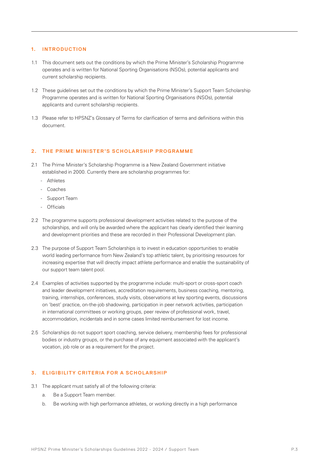#### **1. INTRODUCTION**

- 1.1 This document sets out the conditions by which the Prime Minister's Scholarship Programme operates and is written for National Sporting Organisations (NSOs), potential applicants and current scholarship recipients.
- 1.2 These guidelines set out the conditions by which the Prime Minister's Support Team Scholarship Programme operates and is written for National Sporting Organisations (NSOs), potential applicants and current scholarship recipients.
- 1.3 Please refer to HPSNZ's Glossary of Terms for clarification of terms and definitions within this document.

#### 2. THE PRIME MINISTER'S SCHOLARSHIP PROGRAMME

- 2.1 The Prime Minister's Scholarship Programme is a New Zealand Government initiative established in 2000. Currently there are scholarship programmes for:
	- Athletes
	- Coaches
	- Support Team
	- Officials
- 2.2 The programme supports professional development activities related to the purpose of the scholarships, and will only be awarded where the applicant has clearly identified their learning and development priorities and these are recorded in their Professional Development plan.
- 2.3 The purpose of Support Team Scholarships is to invest in education opportunities to enable world leading performance from New Zealand's top athletic talent, by prioritising resources for increasing expertise that will directly impact athlete performance and enable the sustainability of our support team talent pool.
- 2.4 Examples of activities supported by the programme include: multi-sport or cross-sport coach and leader development initiatives, accreditation requirements, business coaching, mentoring, training, internships, conferences, study visits, observations at key sporting events, discussions on 'best' practice, on-the-job shadowing, participation in peer network activities, participation in international committees or working groups, peer review of professional work, travel, accommodation, incidentals and in some cases limited reimbursement for lost income.
- 2.5 Scholarships do not support sport coaching, service delivery, membership fees for professional bodies or industry groups, or the purchase of any equipment associated with the applicant's vocation, job role or as a requirement for the project.

## **3. ELIGIBILITY CRITERIA FOR A SCHOL ARSHIP**

- 3.1 The applicant must satisfy all of the following criteria:
	- a. Be a Support Team member.
	- b. Be working with high performance athletes, or working directly in a high performance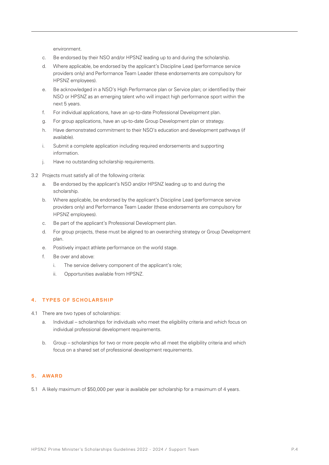environment.

- c. Be endorsed by their NSO and/or HPSNZ leading up to and during the scholarship.
- d. Where applicable, be endorsed by the applicant's Discipline Lead (performance service providers only) and Performance Team Leader (these endorsements are compulsory for HPSNZ employees).
- e. Be acknowledged in a NSO's High Performance plan or Service plan; or identified by their NSO or HPSNZ as an emerging talent who will impact high performance sport within the next 5 years.
- f. For individual applications, have an up-to-date Professional Development plan.
- g. For group applications, have an up-to-date Group Development plan or strategy.
- h. Have demonstrated commitment to their NSO's education and development pathways (if available).
- i. Submit a complete application including required endorsements and supporting information.
- j. Have no outstanding scholarship requirements.
- 3.2 Projects must satisfy all of the following criteria:
	- a. Be endorsed by the applicant's NSO and/or HPSNZ leading up to and during the scholarship.
	- b. Where applicable, be endorsed by the applicant's Discipline Lead (performance service providers only) and Performance Team Leader (these endorsements are compulsory for HPSNZ employees).
	- c. Be part of the applicant's Professional Development plan.
	- d. For group projects, these must be aligned to an overarching strategy or Group Development plan.
	- e. Positively impact athlete performance on the world stage.
	- f. Be over and above:
		- i. The service delivery component of the applicant's role;
		- ii. Opportunities available from HPSNZ.

# **4. TYPES OF SCHOLARSHIP**

- 4.1 There are two types of scholarships:
	- a. Individual scholarships for individuals who meet the eligibility criteria and which focus on individual professional development requirements.
	- b. Group scholarships for two or more people who all meet the eligibility criteria and which focus on a shared set of professional development requirements.

### **5. AWARD**

5.1 A likely maximum of \$50,000 per year is available per scholarship for a maximum of 4 years.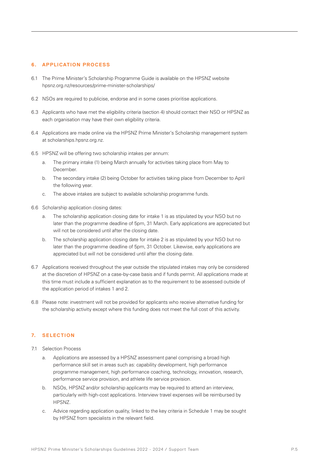#### **6. APPLICATION PROCESS**

- 6.1 The Prime Minister's Scholarship Programme Guide is available on the HPSNZ website hpsnz.org.nz/resources/prime-minister-scholarships/
- 6.2 NSOs are required to publicise, endorse and in some cases prioritise applications.
- 6.3 Applicants who have met the eligibility criteria (section 4) should contact their NSO or HPSNZ as each organisation may have their own eligibility criteria.
- 6.4 Applications are made online via the HPSNZ Prime Minister's Scholarship management system at scholarships.hpsnz.org.nz.
- 6.5 HPSNZ will be offering two scholarship intakes per annum:
	- a. The primary intake (1) being March annually for activities taking place from May to December.
	- b. The secondary intake (2) being October for activities taking place from December to April the following year.
	- c. The above intakes are subject to available scholarship programme funds.
- 6.6 Scholarship application closing dates:
	- a. The scholarship application closing date for intake 1 is as stipulated by your NSO but no later than the programme deadline of 5pm, 31 March. Early applications are appreciated but will not be considered until after the closing date.
	- b. The scholarship application closing date for intake 2 is as stipulated by your NSO but no later than the programme deadline of 5pm, 31 October. Likewise, early applications are appreciated but will not be considered until after the closing date.
- 6.7 Applications received throughout the year outside the stipulated intakes may only be considered at the discretion of HPSNZ on a case-by-case basis and if funds permit. All applications made at this time must include a sufficient explanation as to the requirement to be assessed outside of the application period of intakes 1 and 2.
- 6.8 Please note: investment will not be provided for applicants who receive alternative funding for the scholarship activity except where this funding does not meet the full cost of this activity.

## **7. SELECTION**

- 7.1 Selection Process
	- a. Applications are assessed by a HPSNZ assessment panel comprising a broad high performance skill set in areas such as: capability development, high performance programme management, high performance coaching, technology, innovation, research, performance service provision, and athlete life service provision.
	- b. NSOs, HPSNZ and/or scholarship applicants may be required to attend an interview, particularly with high-cost applications. Interview travel expenses will be reimbursed by HPSNZ.
	- c. Advice regarding application quality, linked to the key criteria in Schedule 1 may be sought by HPSNZ from specialists in the relevant field.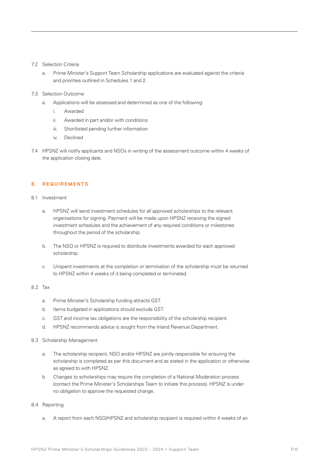#### 7.2 Selection Criteria

a. Prime Minister's Support Team Scholarship applications are evaluated against the criteria and priorities outlined in Schedules 1 and 2.

#### 7.3 Selection Outcome

- a. Applications will be assessed and determined as one of the following:
	- i. Awarded
	- ii. Awarded in part and/or with conditions
	- iii. Shortlisted pending further information
	- iv. Declined
- 7.4 HPSNZ will notify applicants and NSOs in writing of the assessment outcome within 4 weeks of the application closing date.

#### **8. REQUIREMENTS**

- 8.1 Investment
	- a. HPSNZ will send investment schedules for all approved scholarships to the relevant organisations for signing. Payment will be made upon HPSNZ receiving the signed investment schedules and the achievement of any required conditions or milestones throughout the period of the scholarship.
	- b. The NSO or HPSNZ is required to distribute investments awarded for each approved scholarship.
	- c. Unspent investments at the completion or termination of the scholarship must be returned to HPSNZ within 4 weeks of it being completed or terminated.

#### 8.2 Tax

- a. Prime Minister's Scholarship funding attracts GST.
- b. Items budgeted in applications should exclude GST.
- c. GST and income tax obligations are the responsibility of the scholarship recipient.
- d. HPSNZ recommends advice is sought from the Inland Revenue Department.

#### 8.3 Scholarship Management

- a. The scholarship recipient, NSO and/or HPSNZ are jointly responsible for ensuring the scholarship is completed as per this document and as stated in the application or otherwise as agreed to with HPSNZ.
- b. Changes to scholarships may require the completion of a National Moderation process (contact the Prime Minister's Scholarships Team to initiate this process). HPSNZ is under no obligation to approve the requested change.

## 8.4 Reporting

a. A report from each NSO/HPSNZ and scholarship recipient is required within 4 weeks of an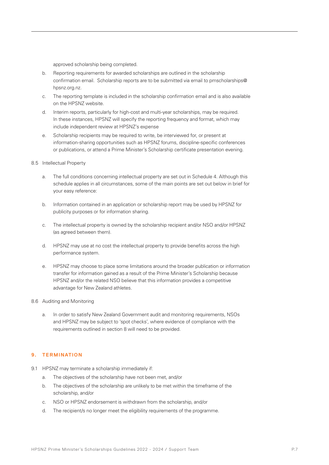approved scholarship being completed.

- b. Reporting requirements for awarded scholarships are outlined in the scholarship confirmation email. Scholarship reports are to be submitted via email to pmscholarships@ hpsnz.org.nz.
- c. The reporting template is included in the scholarship confirmation email and is also available on the HPSNZ website.
- d. Interim reports, particularly for high-cost and multi-year scholarships, may be required. In these instances, HPSNZ will specify the reporting frequency and format, which may include independent review at HPSNZ's expense
- e. Scholarship recipients may be required to write, be interviewed for, or present at information-sharing opportunities such as HPSNZ forums, discipline-specific conferences or publications, or attend a Prime Minister's Scholarship certificate presentation evening.
- 8.5 Intellectual Property
	- a. The full conditions concerning intellectual property are set out in Schedule 4. Although this schedule applies in all circumstances, some of the main points are set out below in brief for your easy reference:
	- b. Information contained in an application or scholarship report may be used by HPSNZ for publicity purposes or for information sharing.
	- c. The intellectual property is owned by the scholarship recipient and/or NSO and/or HPSNZ (as agreed between them).
	- d. HPSNZ may use at no cost the intellectual property to provide benefits across the high performance system.
	- e. HPSNZ may choose to place some limitations around the broader publication or information transfer for information gained as a result of the Prime Minister's Scholarship because HPSNZ and/or the related NSO believe that this information provides a competitive advantage for New Zealand athletes.

# 8.6 Auditing and Monitoring

a. In order to satisfy New Zealand Government audit and monitoring requirements, NSOs and HPSNZ may be subject to 'spot checks', where evidence of compliance with the requirements outlined in section 8 will need to be provided.

#### **9. TERMINATION**

- 9.1 HPSNZ may terminate a scholarship immediately if:
	- a. The objectives of the scholarship have not been met, and/or
	- b. The objectives of the scholarship are unlikely to be met within the timeframe of the scholarship, and/or
	- c. NSO or HPSNZ endorsement is withdrawn from the scholarship, and/or
	- d. The recipient/s no longer meet the eligibility requirements of the programme.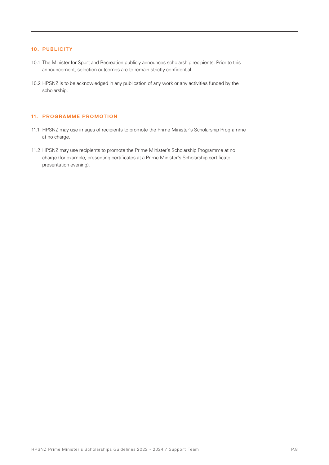## **10. PUBLICITY**

- 10.1 The Minister for Sport and Recreation publicly announces scholarship recipients. Prior to this announcement, selection outcomes are to remain strictly confidential.
- 10.2 HPSNZ is to be acknowledged in any publication of any work or any activities funded by the scholarship.

#### **11. PROGRAMME PROMOTION**

- 11.1 HPSNZ may use images of recipients to promote the Prime Minister's Scholarship Programme at no charge.
- 11.2 HPSNZ may use recipients to promote the Prime Minister's Scholarship Programme at no charge (for example, presenting certificates at a Prime Minister's Scholarship certificate presentation evening).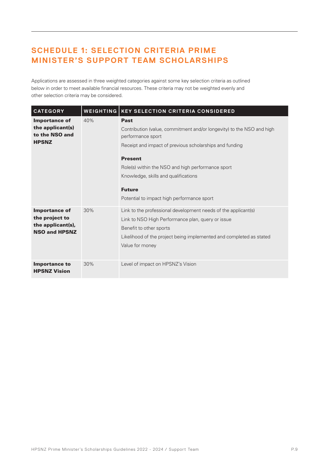# **SCHEDULE 1: SELECTION CRITERIA PRIME MINISTER'S SUPPORT TEAM SCHOLARSHIPS**

Applications are assessed in three weighted categories against some key selection criteria as outlined below in order to meet available financial resources. These criteria may not be weighted evenly and other selection criteria may be considered.

| <b>CATEGORY</b>                                                                     | <b>WEIGHTING</b> | <b>KEY SELECTION CRITERIA CONSIDERED</b>                                                                                                                                                                                                                                                                                                           |  |
|-------------------------------------------------------------------------------------|------------------|----------------------------------------------------------------------------------------------------------------------------------------------------------------------------------------------------------------------------------------------------------------------------------------------------------------------------------------------------|--|
| <b>Importance of</b><br>the applicant(s)<br>to the NSO and<br><b>HPSNZ</b>          | 40%              | <b>Past</b><br>Contribution (value, commitment and/or longevity) to the NSO and high<br>performance sport<br>Receipt and impact of previous scholarships and funding<br><b>Present</b><br>Role(s) within the NSO and high performance sport<br>Knowledge, skills and qualifications<br><b>Future</b><br>Potential to impact high performance sport |  |
| <b>Importance of</b><br>the project to<br>the applicant(s),<br><b>NSO and HPSNZ</b> | 30%              | Link to the professional development needs of the applicant(s)<br>Link to NSO High Performance plan, query or issue<br>Benefit to other sports<br>Likelihood of the project being implemented and completed as stated<br>Value for money                                                                                                           |  |
| <b>Importance to</b><br><b>HPSNZ Vision</b>                                         | 30%              | Level of impact on HPSNZ's Vision                                                                                                                                                                                                                                                                                                                  |  |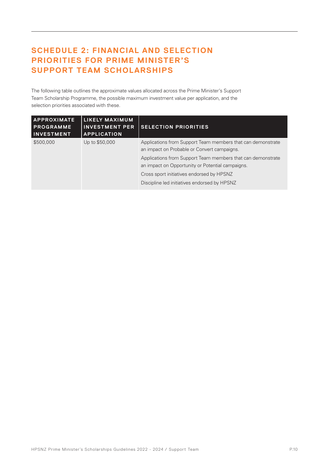# **SCHEDULE 2: FINANCIAL AND SELECTION PRIORITIES FOR PRIME MINISTER'S SUPPORT TEAM SCHOLARSHIPS**

The following table outlines the approximate values allocated across the Prime Minister's Support Team Scholarship Programme, the possible maximum investment value per application, and the selection priorities associated with these.

| <b>APPROXIMATE</b><br><b>PROGRAMME</b><br><b>INVESTMENT</b> | <b>LIKELY MAXIMUM</b><br><b>INVESTMENT PER</b><br><b>APPLICATION</b> | <b>SELECTION PRIORITIES</b>                                                                                     |
|-------------------------------------------------------------|----------------------------------------------------------------------|-----------------------------------------------------------------------------------------------------------------|
| \$500,000                                                   | Up to \$50,000                                                       | Applications from Support Team members that can demonstrate<br>an impact on Probable or Convert campaigns.      |
|                                                             |                                                                      | Applications from Support Team members that can demonstrate<br>an impact on Opportunity or Potential campaigns. |
|                                                             |                                                                      | Cross sport initiatives endorsed by HPSNZ                                                                       |
|                                                             |                                                                      | Discipline led initiatives endorsed by HPSNZ                                                                    |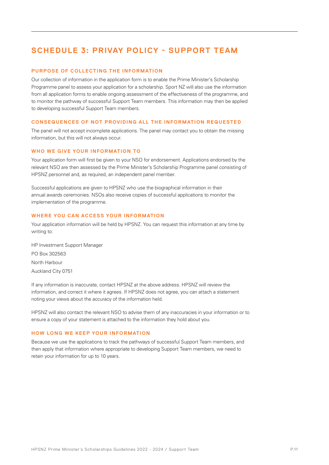# **SCHEDULE 3: PRIVAY POLICY - SUPPORT TEAM**

## **PURPOSE OF COLLECTING THE INFORMATION**

Our collection of information in the application form is to enable the Prime Minister's Scholarship Programme panel to assess your application for a scholarship. Sport NZ will also use the information from all application forms to enable ongoing assessment of the effectiveness of the programme, and to monitor the pathway of successful Support Team members. This information may then be applied to developing successful Support Team members.

#### **CONSEQUENCES OF NOT PROVIDING ALL THE INFORMATION REQUESTED**

The panel will not accept incomplete applications. The panel may contact you to obtain the missing information, but this will not always occur.

#### **WHO WE GIVE YOUR INFORMATION TO**

Your application form will first be given to your NSO for endorsement. Applications endorsed by the relevant NSO are then assessed by the Prime Minister's Scholarship Programme panel consisting of HPSNZ personnel and, as required, an independent panel member.

Successful applications are given to HPSNZ who use the biographical information in their annual awards ceremonies. NSOs also receive copies of successful applications to monitor the implementation of the programme.

#### **WHERE YOU CAN ACCESS YOUR INFORMATION**

Your application information will be held by HPSNZ. You can request this information at any time by writing to:

HP Investment Support Manager PO Box 302563 North Harbour Auckland City 0751

If any information is inaccurate, contact HPSNZ at the above address. HPSNZ will review the information, and correct it where it agrees. If HPSNZ does not agree, you can attach a statement noting your views about the accuracy of the information held.

HPSNZ will also contact the relevant NSO to advise them of any inaccuracies in your information or to ensure a copy of your statement is attached to the information they hold about you.

#### **HOW LONG WE KEEP YOUR INFORMATION**

Because we use the applications to track the pathways of successful Support Team members, and then apply that information where appropriate to developing Support Team members, we need to retain your information for up to 10 years.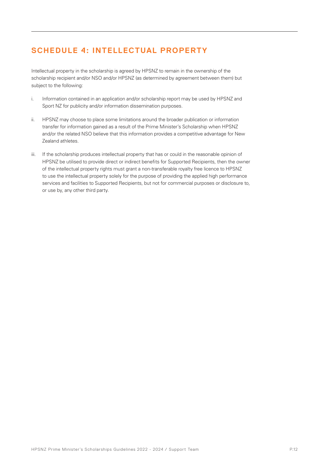# **SCHEDULE 4: INTELLECTUAL PROPERTY**

Intellectual property in the scholarship is agreed by HPSNZ to remain in the ownership of the scholarship recipient and/or NSO and/or HPSNZ (as determined by agreement between them) but subject to the following:

- i. Information contained in an application and/or scholarship report may be used by HPSNZ and Sport NZ for publicity and/or information dissemination purposes.
- ii. HPSNZ may choose to place some limitations around the broader publication or information transfer for information gained as a result of the Prime Minister's Scholarship when HPSNZ and/or the related NSO believe that this information provides a competitive advantage for New Zealand athletes.
- iii. If the scholarship produces intellectual property that has or could in the reasonable opinion of HPSNZ be utilised to provide direct or indirect benefits for Supported Recipients, then the owner of the intellectual property rights must grant a non-transferable royalty free licence to HPSNZ to use the intellectual property solely for the purpose of providing the applied high performance services and facilities to Supported Recipients, but not for commercial purposes or disclosure to, or use by, any other third party.